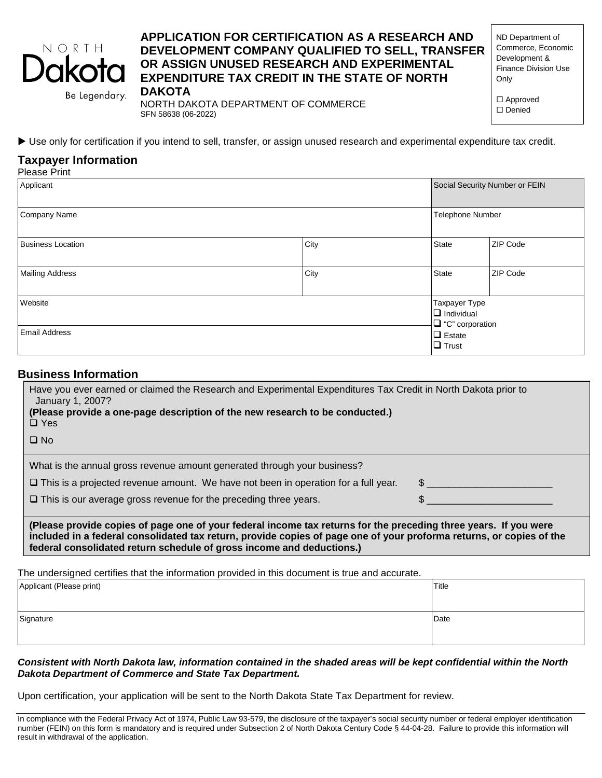

# **APPLICATION FOR CERTIFICATION AS A RESEARCH AND DEVELOPMENT COMPANY QUALIFIED TO SELL, TRANSFER OR ASSIGN UNUSED RESEARCH AND EXPERIMENTAL EXPENDITURE TAX CREDIT IN THE STATE OF NORTH DAKOTA**

ND Department of Commerce, Economic Development & Finance Division Use Only

□ Approved □ Denied

Use only for certification if you intend to sell, transfer, or assign unused research and experimental expenditure tax credit.

NORTH DAKOTA DEPARTMENT OF COMMERCE

SFN 58638 (06-2022)

# **Taxpayer Information**

| <b>Please Print</b>      |      |                                                              |                 |
|--------------------------|------|--------------------------------------------------------------|-----------------|
| Applicant                |      | Social Security Number or FEIN                               |                 |
| Company Name             |      | Telephone Number                                             |                 |
| <b>Business Location</b> | City | <b>State</b>                                                 | <b>ZIP Code</b> |
| <b>Mailing Address</b>   | City | <b>State</b>                                                 | <b>ZIP Code</b> |
| Website                  |      | Taxpayer Type<br>$\Box$ Individual<br>$\Box$ "C" corporation |                 |
| <b>Email Address</b>     |      | $\Box$ Estate<br>$\Box$ Trust                                |                 |

## **Business Information**

| Have you ever earned or claimed the Research and Experimental Expenditures Tax Credit in North Dakota prior to<br>January 1, 2007?<br>(Please provide a one-page description of the new research to be conducted.)<br>$\Box$ Yes         |  |
|------------------------------------------------------------------------------------------------------------------------------------------------------------------------------------------------------------------------------------------|--|
| $\Box$ No                                                                                                                                                                                                                                |  |
| What is the annual gross revenue amount generated through your business?                                                                                                                                                                 |  |
| $\Box$ This is a projected revenue amount. We have not been in operation for a full year.                                                                                                                                                |  |
| $\Box$ This is our average gross revenue for the preceding three years.                                                                                                                                                                  |  |
| (Please provide copies of page one of your federal income tax returns for the preceding three years. If you were<br>included in a federal consolidated tax return, provide copies of page one of your proforma returns, or copies of the |  |

The undersigned certifies that the information provided in this document is true and accurate.

**federal consolidated return schedule of gross income and deductions.)**

| Applicant (Please print) | Title |
|--------------------------|-------|
| Signature                | Date  |

*Consistent with North Dakota law, information contained in the shaded areas will be kept confidential within the North Dakota Department of Commerce and State Tax Department.*

Upon certification, your application will be sent to the North Dakota State Tax Department for review.

In compliance with the Federal Privacy Act of 1974, Public Law 93-579, the disclosure of the taxpayer's social security number or federal employer identification number (FEIN) on this form is mandatory and is required under Subsection 2 of North Dakota Century Code § 44-04-28. Failure to provide this information will result in withdrawal of the application.